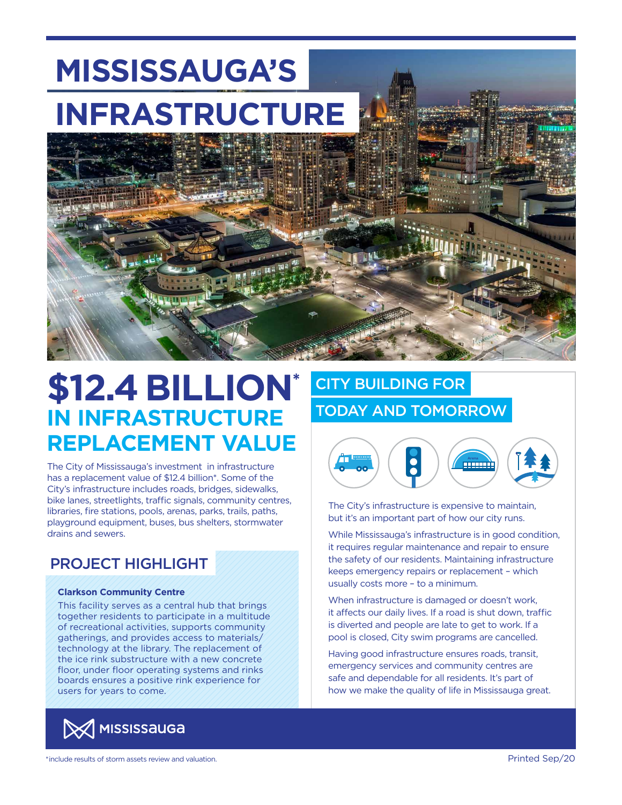# **INFRASTRUCTURE MISSISSAUGA'S**



## **\$12.4 BILLION\* IN INFRASTRUCTURE REPLACEMENT VALUE**

The City of Mississauga's investment in infrastructure has a replacement value of \$12.4 billion\*. Some of the City's infrastructure includes roads, bridges, sidewalks, bike lanes, streetlights, traffic signals, community centres, libraries, fire stations, pools, arenas, parks, trails, paths, playground equipment, buses, bus shelters, stormwater drains and sewers.

### PROJECT HIGHLIGHT

### **Clarkson Community Centre**

This facility serves as a central hub that brings together residents to participate in a multitude of recreational activities, supports community gatherings, and provides access to materials/ technology at the library. The replacement of the ice rink substructure with a new concrete floor, under floor operating systems and rinks boards ensures a positive rink experience for users for years to come.



### CITY BUILDING FOR TODAY AND TOMORROW



The City's infrastructure is expensive to maintain, but it's an important part of how our city runs.

While Mississauga's infrastructure is in good condition, it requires regular maintenance and repair to ensure the safety of our residents. Maintaining infrastructure keeps emergency repairs or replacement – which usually costs more – to a minimum.

When infrastructure is damaged or doesn't work, it affects our daily lives. If a road is shut down, traffic is diverted and people are late to get to work. If a pool is closed, City swim programs are cancelled.

Having good infrastructure ensures roads, transit, emergency services and community centres are safe and dependable for all residents. It's part of how we make the quality of life in Mississauga great.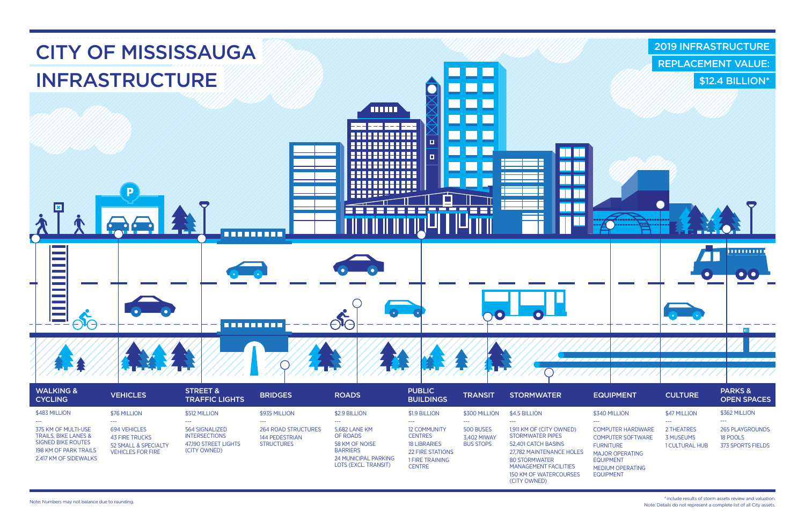694 VEHICLES 43 FIRE TRUCKS 52 SMALL & SPECIALTY VEHICLES FOR FIRE

264 ROAD STRUCTURES 144 PEDESTRIAN **STRUCTURES** 

5,682 LANE KM OF ROADS 58 KM OF NOISE BARRIERS 24 MUNICIPAL PARKING LOTS (EXCL. TRANSIT)

--- 500 BUSES 3,402 MIWAY BUS STOPS 12 COMMUNITY **CENTRES** 18 LIBRARIES 22 FIRE STATIONS 1 FIRE TRAINING **CENTRE** 

--- 564 SIGNALIZED INTERSECTIONS 47,190 STREET LIGHTS (CITY OWNED)

COMPUTER HARDWARE COMPUTER SOFTWARE FURNITURE MAJOR OPERATING EQUIPMENT

MEDIUM OPERATING EQUIPMENT

2 THEATRES 3 MUSEUMS 1 CULTURAL HUB

--- 1,911 KM OF (CITY OWNED) STORMWATER PIPES 52,401 CATCH BASINS 27,782 MAINTENANCE HOLES 80 STORMWATER MANAGEMENT FACILITIES 150 KM OF WATERCOURSES (CITY OWNED)

375 KM OF MULTI-USE TRAILS, BIKE LANES & SIGNED BIKE ROUTES 198 KM OF PARK TRAILS 2,417 KM OF SIDEWALKS 265 PLAYGROUNDS 18 POOLS 373 SPORTS FIELDS